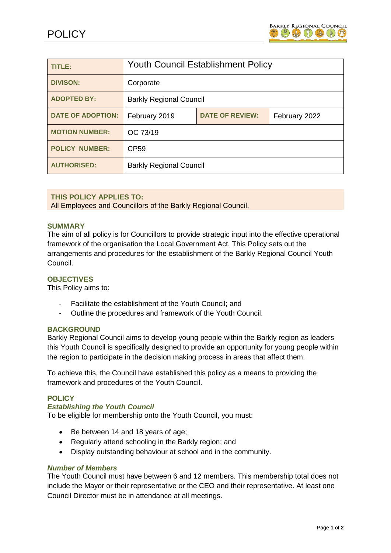

| TITLE:                   | <b>Youth Council Establishment Policy</b> |                        |               |
|--------------------------|-------------------------------------------|------------------------|---------------|
| <b>DIVISON:</b>          | Corporate                                 |                        |               |
| <b>ADOPTED BY:</b>       | <b>Barkly Regional Council</b>            |                        |               |
| <b>DATE OF ADOPTION:</b> | February 2019                             | <b>DATE OF REVIEW:</b> | February 2022 |
| <b>MOTION NUMBER:</b>    | OC 73/19                                  |                        |               |
| <b>POLICY NUMBER:</b>    | <b>CP59</b>                               |                        |               |
| <b>AUTHORISED:</b>       | <b>Barkly Regional Council</b>            |                        |               |

# **THIS POLICY APPLIES TO:**

All Employees and Councillors of the Barkly Regional Council.

### **SUMMARY**

The aim of all policy is for Councillors to provide strategic input into the effective operational framework of the organisation the Local Government Act. This Policy sets out the arrangements and procedures for the establishment of the Barkly Regional Council Youth Council.

### **OBJECTIVES**

This Policy aims to:

- Facilitate the establishment of the Youth Council; and
- Outline the procedures and framework of the Youth Council.

## **BACKGROUND**

Barkly Regional Council aims to develop young people within the Barkly region as leaders this Youth Council is specifically designed to provide an opportunity for young people within the region to participate in the decision making process in areas that affect them.

To achieve this, the Council have established this policy as a means to providing the framework and procedures of the Youth Council.

# **POLICY**

## *Establishing the Youth Council*

To be eligible for membership onto the Youth Council, you must:

- Be between 14 and 18 years of age;
- Regularly attend schooling in the Barkly region; and
- Display outstanding behaviour at school and in the community.

#### *Number of Members*

The Youth Council must have between 6 and 12 members. This membership total does not include the Mayor or their representative or the CEO and their representative. At least one Council Director must be in attendance at all meetings.